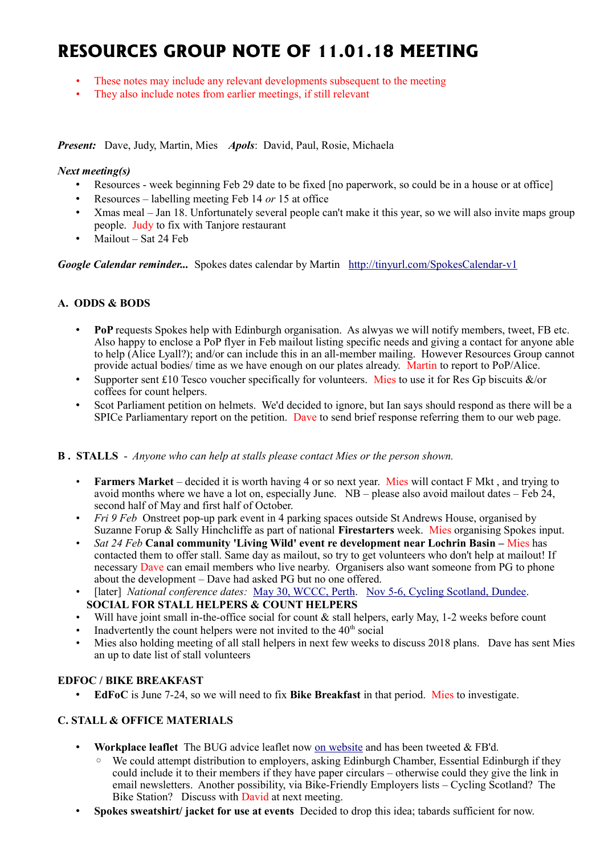# **RESOURCES GROUP NOTE OF 11.01.18 MEETING**

- These notes may include any relevant developments subsequent to the meeting
- They also include notes from earlier meetings, if still relevant

*Present:* Dave, Judy, Martin, Mies *Apols*: David, Paul, Rosie, Michaela

#### *Next meeting(s)*

- Resources week beginning Feb 29 date to be fixed [no paperwork, so could be in a house or at office]
- Resources labelling meeting Feb 14 *or* 15 at office
- Xmas meal Jan 18. Unfortunately several people can't make it this year, so we will also invite maps group people. Judy to fix with Tanjore restaurant
- Mailout Sat 24 Feb

*Google Calendar reminder...* Spokes dates calendar by Martin <http://tinyurl.com/SpokesCalendar-v1>

## **A. ODDS & BODS**

- **PoP** requests Spokes help with Edinburgh organisation. As alwyas we will notify members, tweet, FB etc. Also happy to enclose a PoP flyer in Feb mailout listing specific needs and giving a contact for anyone able to help (Alice Lyall?); and/or can include this in an all-member mailing. However Resources Group cannot provide actual bodies/ time as we have enough on our plates already. Martin to report to PoP/Alice.
- Supporter sent £10 Tesco voucher specifically for volunteers. Mies to use it for Res Gp biscuits  $\&$ /or coffees for count helpers.
- Scot Parliament petition on helmets. We'd decided to ignore, but Ian says should respond as there will be a SPICe Parliamentary report on the petition. Dave to send brief response referring them to our web page.

#### **B . STALLS** - *Anyone who can help at stalls please contact Mies or the person shown.*

- **Farmers Market** decided it is worth having 4 or so next year. Mies will contact F Mkt , and trying to avoid months where we have a lot on, especially June.  $NB$  – please also avoid mailout dates – Feb 24, second half of May and first half of October.
- *Fri 9 Feb* Onstreet pop-up park event in 4 parking spaces outside St Andrews House, organised by Suzanne Forup & Sally Hinchcliffe as part of national **Firestarters** week. Mies organising Spokes input.
- *Sat 24 Feb* **Canal community 'Living Wild' event re development near Lochrin Basin –** Mies has contacted them to offer stall. Same day as mailout, so try to get volunteers who don't help at mailout! If necessary Dave can email members who live nearby. Organisers also want someone from PG to phone about the development – Dave had asked PG but no one offered.
- [later] *National conference dates:* [May 30, WCCC, Perth.](https://www.pathsforall.org.uk/pfa/get-involved/scotlands-national-active-travel-conference.html) [Nov 5-6, Cycling Scotland, Dundee.](http://mailchi.mp/cycling/early-bird-discount-ends-today-monday-2nd-october-2036965?e=df4f9c501f) **SOCIAL FOR STALL HELPERS & COUNT HELPERS**
- Will have joint small in-the-office social for count  $\&$  stall helpers, early May, 1-2 weeks before count
- Inadvertently the count helpers were not invited to the  $40<sup>th</sup>$  social
- Mies also holding meeting of all stall helpers in next few weeks to discuss 2018 plans. Dave has sent Mies an up to date list of stall volunteers

## **EDFOC / BIKE BREAKFAST**

• **EdFoC** is June 7-24, so we will need to fix **Bike Breakfast** in that period. Mies to investigate.

## **C. STALL & OFFICE MATERIALS**

- **Workplace leaflet** The BUG advice leaflet now [on website](http://www.spokes.org.uk/documents/advice/workplace-cycling/) and has been tweeted & FB'd.
	- We could attempt distribution to employers, asking Edinburgh Chamber, Essential Edinburgh if they could include it to their members if they have paper circulars – otherwise could they give the link in email newsletters. Another possibility, via Bike-Friendly Employers lists – Cycling Scotland? The Bike Station? Discuss with David at next meeting.
- **Spokes sweatshirt/ jacket for use at events** Decided to drop this idea; tabards sufficient for now.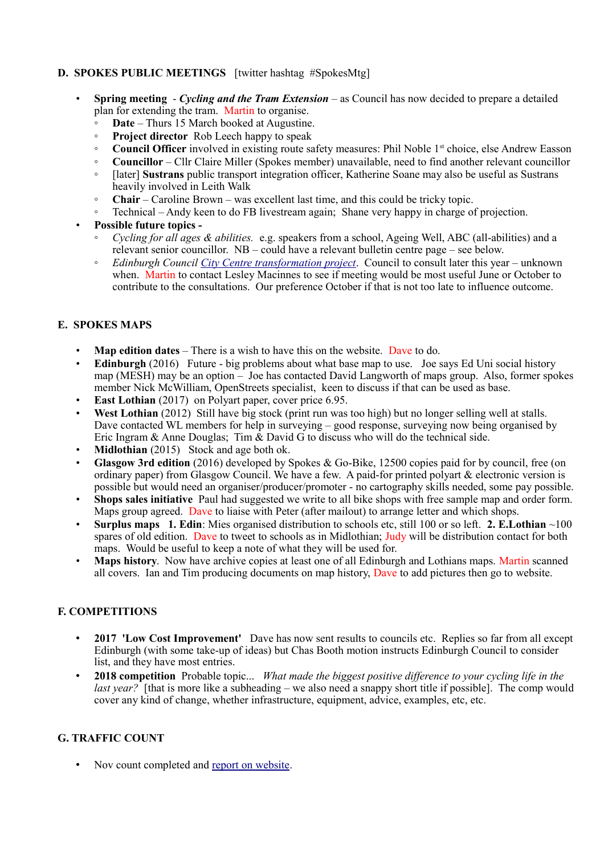## **D. SPOKES PUBLIC MEETINGS** [twitter hashtag #SpokesMtg]

- **Spring meeting** *Cycling and the Tram Extension* as Council has now decided to prepare a detailed plan for extending the tram. Martin to organise.
	- **Date** Thurs 15 March booked at Augustine.
	- **Project director** Rob Leech happy to speak
	- **Council Officer** involved in existing route safety measures: Phil Noble 1st choice, else Andrew Easson
	- **Councillor** Cllr Claire Miller (Spokes member) unavailable, need to find another relevant councillor
	- [later] **Sustrans** public transport integration officer, Katherine Soane may also be useful as Sustrans heavily involved in Leith Walk
	- **Chair** Caroline Brown was excellent last time, and this could be tricky topic.
	- Technical Andy keen to do FB livestream again; Shane very happy in charge of projection.
- **Possible future topics -**
	- *Cycling for all ages & abilities.* e.g. speakers from a school, Ageing Well, ABC (all-abilities) and a relevant senior councillor. NB – could have a relevant bulletin centre page – see below.
	- *Edinburgh Council [City Centre transformation project](http://www.spokes.org.uk/2017/11/transforming-picardy-leith-st-and-the-city-centre/)*. Council to consult later this year unknown when. Martin to contact Lesley Macinnes to see if meeting would be most useful June or October to contribute to the consultations. Our preference October if that is not too late to influence outcome.

#### **E. SPOKES MAPS**

- **Map edition dates** There is a wish to have this on the website. Dave to do.
- **Edinburgh** (2016) Future big problems about what base map to use. Joe says Ed Uni social history map (MESH) may be an option – Joe has contacted David Langworth of maps group. Also, former spokes member Nick McWilliam, OpenStreets specialist, keen to discuss if that can be used as base.
- **East Lothian** (2017) on Polyart paper, cover price 6.95.
- **West Lothian** (2012) Still have big stock (print run was too high) but no longer selling well at stalls. Dave contacted WL members for help in surveying – good response, surveying now being organised by Eric Ingram & Anne Douglas; Tim  $\&$  David G to discuss who will do the technical side.
- **Midlothian** (2015) Stock and age both ok.
- **Glasgow 3rd edition** (2016) developed by Spokes & Go-Bike, 12500 copies paid for by council, free (on ordinary paper) from Glasgow Council. We have a few. A paid-for printed polyart & electronic version is possible but would need an organiser/producer/promoter - no cartography skills needed, some pay possible.
- **Shops sales initiative** Paul had suggested we write to all bike shops with free sample map and order form. Maps group agreed. Dave to liaise with Peter (after mailout) to arrange letter and which shops.
- **Surplus maps 1. Edin**: Mies organised distribution to schools etc, still 100 or so left. **2. E.Lothian** ~100 spares of old edition. Dave to tweet to schools as in Midlothian; Judy will be distribution contact for both maps. Would be useful to keep a note of what they will be used for.
- **Maps history**. Now have archive copies at least one of all Edinburgh and Lothians maps. Martin scanned all covers. Ian and Tim producing documents on map history, Dave to add pictures then go to website.

## **F. COMPETITIONS**

- **2017 'Low Cost Improvement'** Dave has now sent results to councils etc. Replies so far from all except Edinburgh (with some take-up of ideas) but Chas Booth motion instructs Edinburgh Council to consider list, and they have most entries.
- **2018 competition** Probable topic... *What made the biggest positive difference to your cycling life in the last year?* [that is more like a subheading – we also need a snappy short title if possible]. The comp would cover any kind of change, whether infrastructure, equipment, advice, examples, etc, etc.

## **G. TRAFFIC COUNT**

• Nov count completed and [report on website.](http://www.spokes.org.uk/2017/11/traffic-count-highest-ever-november-bike-2/)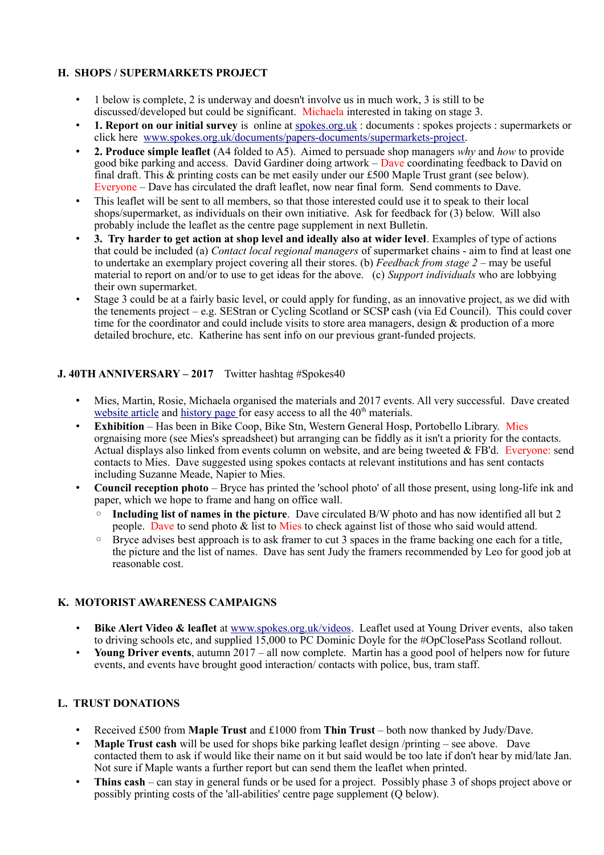## **H. SHOPS / SUPERMARKETS PROJECT**

- 1 below is complete, 2 is underway and doesn't involve us in much work, 3 is still to be discussed/developed but could be significant. Michaela interested in taking on stage 3.
- **1. Report on our initial survey** is online at [spokes.org.uk](http://spokes.org.uk/) : documents : spokes projects : supermarkets or click here [www.spokes.org.uk/documents/papers-documents/supermarkets-project.](http://www.spokes.org.uk/documents/papers-documents/supermarkets-project)
- **2. Produce simple leaflet** (A4 folded to A5). Aimed to persuade shop managers *why* and *how* to provide good bike parking and access. David Gardiner doing artwork –  $D$ ave coordinating feedback to David on final draft. This & printing costs can be met easily under our £500 Maple Trust grant (see below). Everyone – Dave has circulated the draft leaflet, now near final form. Send comments to Dave.
- This leaflet will be sent to all members, so that those interested could use it to speak to their local shops/supermarket, as individuals on their own initiative. Ask for feedback for  $(3)$  below. Will also probably include the leaflet as the centre page supplement in next Bulletin.
- **3. Try harder to get action at shop level and ideally also at wider level**. Examples of type of actions that could be included (a) *Contact local regional managers* of supermarket chains - aim to find at least one to undertake an exemplary project covering all their stores. (b) *Feedback from stage 2* – may be useful material to report on and/or to use to get ideas for the above. (c) *Support individuals* who are lobbying their own supermarket.
- Stage 3 could be at a fairly basic level, or could apply for funding, as an innovative project, as we did with the tenements project – e.g. SEStran or Cycling Scotland or SCSP cash (via Ed Council). This could cover time for the coordinator and could include visits to store area managers, design & production of a more detailed brochure, etc. Katherine has sent info on our previous grant-funded projects.

## **J. 40TH ANNIVERSARY – 2017** Twitter hashtag #Spokes40

- Mies, Martin, Rosie, Michaela organised the materials and 2017 events. All very successful. Dave created [website article](http://www.spokes.org.uk/2017/11/spokes-is-40/) and [history page f](http://www.spokes.org.uk/documents/odds-and-ends-may-be-exciting/spokes-history/)or easy access to all the 40<sup>th</sup> materials.
- **Exhibition** Has been in Bike Coop, Bike Stn, Western General Hosp, Portobello Library. Mies orgnaising more (see Mies's spreadsheet) but arranging can be fiddly as it isn't a priority for the contacts. Actual displays also linked from events column on website, and are being tweeted & FB'd. Everyone: send contacts to Mies. Dave suggested using spokes contacts at relevant institutions and has sent contacts including Suzanne Meade, Napier to Mies.
- **Council reception photo** Bryce has printed the 'school photo' of all those present, using long-life ink and paper, which we hope to frame and hang on office wall.
	- **Including list of names in the picture**. Dave circulated B/W photo and has now identified all but 2 people. Dave to send photo & list to Mies to check against list of those who said would attend.
	- Bryce advises best approach is to ask framer to cut 3 spaces in the frame backing one each for a title, the picture and the list of names. Dave has sent Judy the framers recommended by Leo for good job at reasonable cost.

#### **K. MOTORIST AWARENESS CAMPAIGNS**

- **Bike Alert Video & leaflet** at [www.spokes.org.uk/videos.](http://www.spokes.org.uk/videos) Leaflet used at Young Driver events, also taken to driving schools etc, and supplied 15,000 to PC Dominic Doyle for the #OpClosePass Scotland rollout.
- **Young Driver events**, autumn 2017 all now complete. Martin has a good pool of helpers now for future events, and events have brought good interaction/ contacts with police, bus, tram staff.

## **L. TRUST DONATIONS**

- Received £500 from **Maple Trust** and £1000 from **Thin Trust**  both now thanked by Judy/Dave.
- **Maple Trust cash** will be used for shops bike parking leaflet design /printing see above. Dave contacted them to ask if would like their name on it but said would be too late if don't hear by mid/late Jan. Not sure if Maple wants a further report but can send them the leaflet when printed.
- **Thins cash** can stay in general funds or be used for a project. Possibly phase 3 of shops project above or possibly printing costs of the 'all-abilities' centre page supplement (Q below).